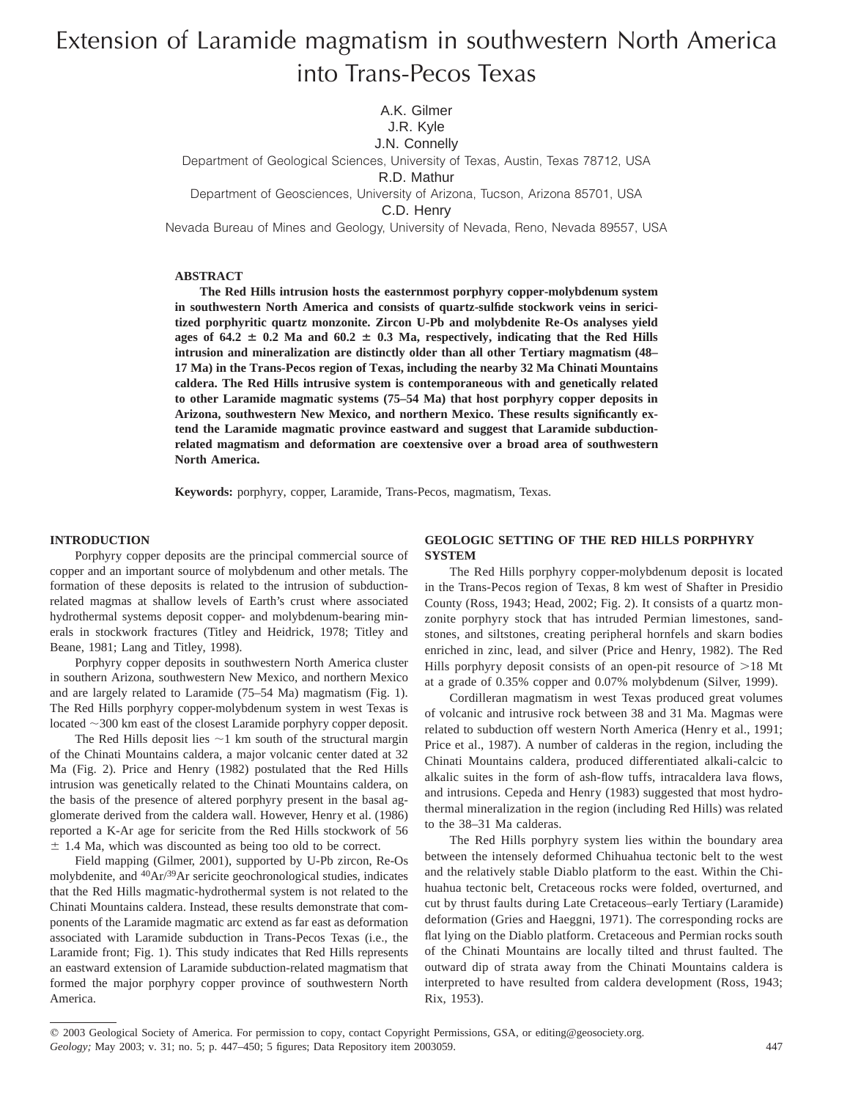# Extension of Laramide magmatism in southwestern North America into Trans-Pecos Texas

A.K. Gilmer J.R. Kyle

# J.N. Connelly

Department of Geological Sciences, University of Texas, Austin, Texas 78712, USA

#### R.D. Mathur

Department of Geosciences, University of Arizona, Tucson, Arizona 85701, USA

C.D. Henry

Nevada Bureau of Mines and Geology, University of Nevada, Reno, Nevada 89557, USA

# **ABSTRACT**

**The Red Hills intrusion hosts the easternmost porphyry copper-molybdenum system in southwestern North America and consists of quartz-sulfide stockwork veins in sericitized porphyritic quartz monzonite. Zircon U-Pb and molybdenite Re-Os analyses yield** ages of  $64.2 \pm 0.2$  Ma and  $60.2 \pm 0.3$  Ma, respectively, indicating that the Red Hills **intrusion and mineralization are distinctly older than all other Tertiary magmatism (48– 17 Ma) in the Trans-Pecos region of Texas, including the nearby 32 Ma Chinati Mountains caldera. The Red Hills intrusive system is contemporaneous with and genetically related to other Laramide magmatic systems (75–54 Ma) that host porphyry copper deposits in Arizona, southwestern New Mexico, and northern Mexico. These results significantly extend the Laramide magmatic province eastward and suggest that Laramide subductionrelated magmatism and deformation are coextensive over a broad area of southwestern North America.**

**Keywords:** porphyry, copper, Laramide, Trans-Pecos, magmatism, Texas.

## **INTRODUCTION**

Porphyry copper deposits are the principal commercial source of copper and an important source of molybdenum and other metals. The formation of these deposits is related to the intrusion of subductionrelated magmas at shallow levels of Earth's crust where associated hydrothermal systems deposit copper- and molybdenum-bearing minerals in stockwork fractures (Titley and Heidrick, 1978; Titley and Beane, 1981; Lang and Titley, 1998).

Porphyry copper deposits in southwestern North America cluster in southern Arizona, southwestern New Mexico, and northern Mexico and are largely related to Laramide (75–54 Ma) magmatism (Fig. 1). The Red Hills porphyry copper-molybdenum system in west Texas is located  $\sim$ 300 km east of the closest Laramide porphyry copper deposit.

The Red Hills deposit lies  $\sim$ 1 km south of the structural margin of the Chinati Mountains caldera, a major volcanic center dated at 32 Ma (Fig. 2). Price and Henry (1982) postulated that the Red Hills intrusion was genetically related to the Chinati Mountains caldera, on the basis of the presence of altered porphyry present in the basal agglomerate derived from the caldera wall. However, Henry et al. (1986) reported a K-Ar age for sericite from the Red Hills stockwork of 56  $\pm$  1.4 Ma, which was discounted as being too old to be correct.

Field mapping (Gilmer, 2001), supported by U-Pb zircon, Re-Os molybdenite, and  ${}^{40}Ar/{}^{39}Ar$  sericite geochronological studies, indicates that the Red Hills magmatic-hydrothermal system is not related to the Chinati Mountains caldera. Instead, these results demonstrate that components of the Laramide magmatic arc extend as far east as deformation associated with Laramide subduction in Trans-Pecos Texas (i.e., the Laramide front; Fig. 1). This study indicates that Red Hills represents an eastward extension of Laramide subduction-related magmatism that formed the major porphyry copper province of southwestern North America.

## **GEOLOGIC SETTING OF THE RED HILLS PORPHYRY SYSTEM**

The Red Hills porphyry copper-molybdenum deposit is located in the Trans-Pecos region of Texas, 8 km west of Shafter in Presidio County (Ross, 1943; Head, 2002; Fig. 2). It consists of a quartz monzonite porphyry stock that has intruded Permian limestones, sandstones, and siltstones, creating peripheral hornfels and skarn bodies enriched in zinc, lead, and silver (Price and Henry, 1982). The Red Hills porphyry deposit consists of an open-pit resource of  $>18$  Mt at a grade of 0.35% copper and 0.07% molybdenum (Silver, 1999).

Cordilleran magmatism in west Texas produced great volumes of volcanic and intrusive rock between 38 and 31 Ma. Magmas were related to subduction off western North America (Henry et al., 1991; Price et al., 1987). A number of calderas in the region, including the Chinati Mountains caldera, produced differentiated alkali-calcic to alkalic suites in the form of ash-flow tuffs, intracaldera lava flows, and intrusions. Cepeda and Henry (1983) suggested that most hydrothermal mineralization in the region (including Red Hills) was related to the 38–31 Ma calderas.

The Red Hills porphyry system lies within the boundary area between the intensely deformed Chihuahua tectonic belt to the west and the relatively stable Diablo platform to the east. Within the Chihuahua tectonic belt, Cretaceous rocks were folded, overturned, and cut by thrust faults during Late Cretaceous–early Tertiary (Laramide) deformation (Gries and Haeggni, 1971). The corresponding rocks are flat lying on the Diablo platform. Cretaceous and Permian rocks south of the Chinati Mountains are locally tilted and thrust faulted. The outward dip of strata away from the Chinati Mountains caldera is interpreted to have resulted from caldera development (Ross, 1943; Rix, 1953).

 $@$  2003 Geological Society of America. For permission to copy, contact Copyright Permissions, GSA, or editing@geosociety.org. *Geology;* May 2003; v. 31; no. 5; p. 447–450; 5 figures; Data Repository item 2003059. 447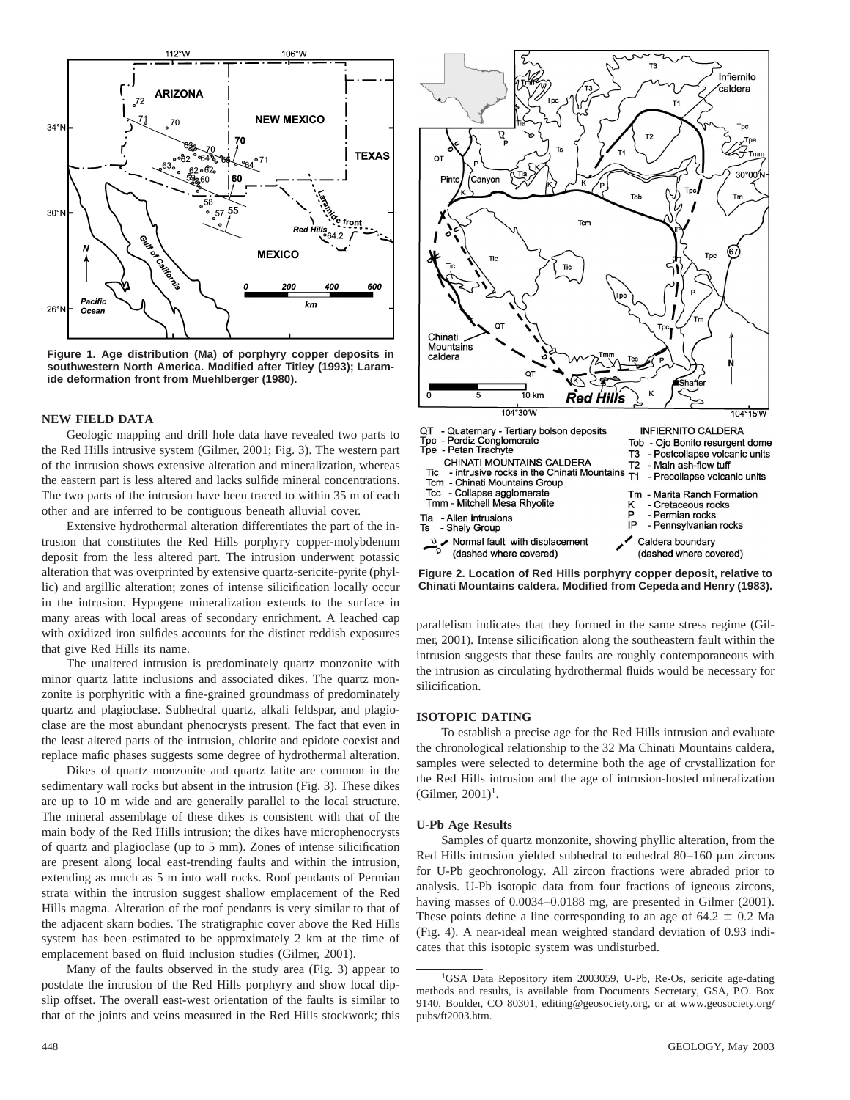

**Figure 1. Age distribution (Ma) of porphyry copper deposits in southwestern North America. Modified after Titley (1993); Laramide deformation front from Muehlberger (1980).**

#### **NEW FIELD DATA**

Geologic mapping and drill hole data have revealed two parts to the Red Hills intrusive system (Gilmer, 2001; Fig. 3). The western part of the intrusion shows extensive alteration and mineralization, whereas the eastern part is less altered and lacks sulfide mineral concentrations. The two parts of the intrusion have been traced to within 35 m of each other and are inferred to be contiguous beneath alluvial cover.

Extensive hydrothermal alteration differentiates the part of the intrusion that constitutes the Red Hills porphyry copper-molybdenum deposit from the less altered part. The intrusion underwent potassic alteration that was overprinted by extensive quartz-sericite-pyrite (phyllic) and argillic alteration; zones of intense silicification locally occur in the intrusion. Hypogene mineralization extends to the surface in many areas with local areas of secondary enrichment. A leached cap with oxidized iron sulfides accounts for the distinct reddish exposures that give Red Hills its name.

The unaltered intrusion is predominately quartz monzonite with minor quartz latite inclusions and associated dikes. The quartz monzonite is porphyritic with a fine-grained groundmass of predominately quartz and plagioclase. Subhedral quartz, alkali feldspar, and plagioclase are the most abundant phenocrysts present. The fact that even in the least altered parts of the intrusion, chlorite and epidote coexist and replace mafic phases suggests some degree of hydrothermal alteration.

Dikes of quartz monzonite and quartz latite are common in the sedimentary wall rocks but absent in the intrusion (Fig. 3). These dikes are up to 10 m wide and are generally parallel to the local structure. The mineral assemblage of these dikes is consistent with that of the main body of the Red Hills intrusion; the dikes have microphenocrysts of quartz and plagioclase (up to 5 mm). Zones of intense silicification are present along local east-trending faults and within the intrusion, extending as much as 5 m into wall rocks. Roof pendants of Permian strata within the intrusion suggest shallow emplacement of the Red Hills magma. Alteration of the roof pendants is very similar to that of the adjacent skarn bodies. The stratigraphic cover above the Red Hills system has been estimated to be approximately 2 km at the time of emplacement based on fluid inclusion studies (Gilmer, 2001).

Many of the faults observed in the study area (Fig. 3) appear to postdate the intrusion of the Red Hills porphyry and show local dipslip offset. The overall east-west orientation of the faults is similar to that of the joints and veins measured in the Red Hills stockwork; this



**Figure 2. Location of Red Hills porphyry copper deposit, relative to Chinati Mountains caldera. Modified from Cepeda and Henry (1983).**

parallelism indicates that they formed in the same stress regime (Gilmer, 2001). Intense silicification along the southeastern fault within the intrusion suggests that these faults are roughly contemporaneous with the intrusion as circulating hydrothermal fluids would be necessary for silicification.

# **ISOTOPIC DATING**

To establish a precise age for the Red Hills intrusion and evaluate the chronological relationship to the 32 Ma Chinati Mountains caldera, samples were selected to determine both the age of crystallization for the Red Hills intrusion and the age of intrusion-hosted mineralization  $(Gilmer, 2001)^1$ .

## **U-Pb Age Results**

Samples of quartz monzonite, showing phyllic alteration, from the Red Hills intrusion yielded subhedral to euhedral  $80-160 \mu m$  zircons for U-Pb geochronology. All zircon fractions were abraded prior to analysis. U-Pb isotopic data from four fractions of igneous zircons, having masses of 0.0034–0.0188 mg, are presented in Gilmer (2001). These points define a line corresponding to an age of  $64.2 \pm 0.2$  Ma (Fig. 4). A near-ideal mean weighted standard deviation of 0.93 indicates that this isotopic system was undisturbed.

<sup>&</sup>lt;sup>1</sup>GSA Data Repository item 2003059, U-Pb, Re-Os, sericite age-dating methods and results, is available from Documents Secretary, GSA, P.O. Box 9140, Boulder, CO 80301, editing@geosociety.org, or at www.geosociety.org/ pubs/ft2003.htm.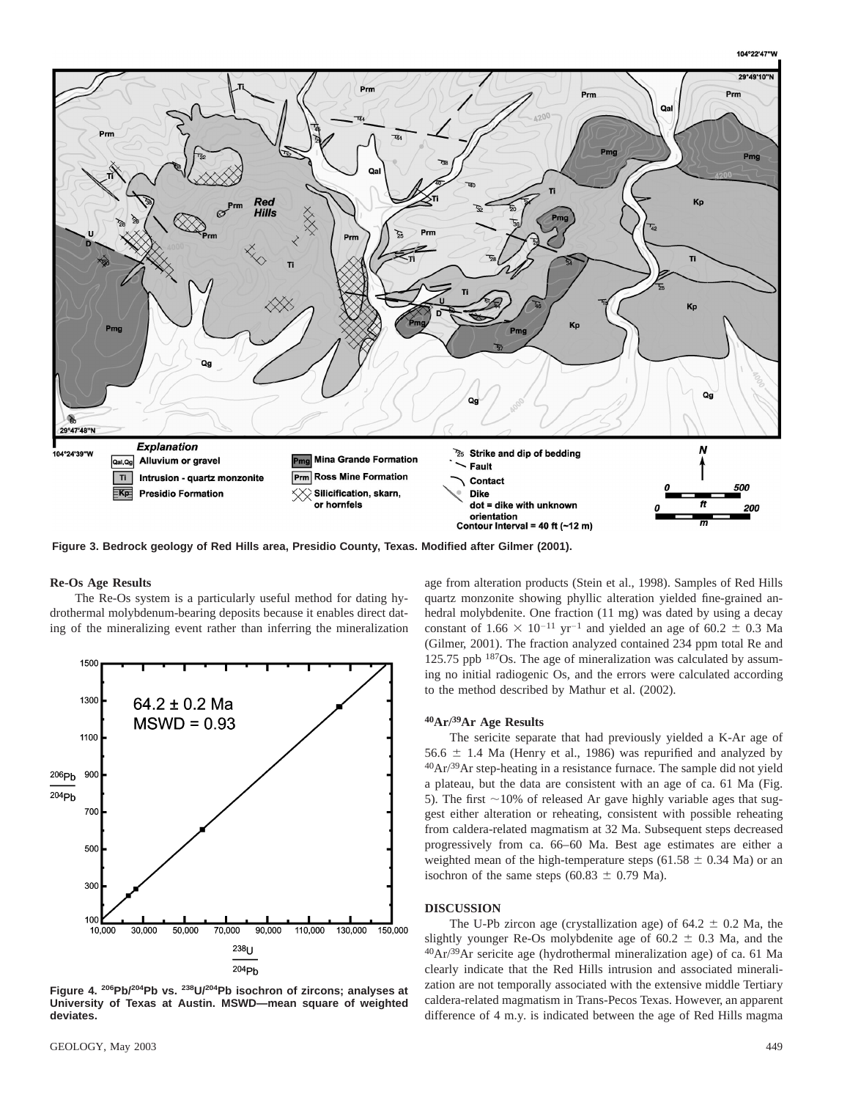

**Figure 3. Bedrock geology of Red Hills area, Presidio County, Texas. Modified after Gilmer (2001).**

## **Re-Os Age Results**

The Re-Os system is a particularly useful method for dating hydrothermal molybdenum-bearing deposits because it enables direct dating of the mineralizing event rather than inferring the mineralization



**Figure 4. 206Pb/204Pb vs. 238U/204Pb isochron of zircons; analyses at University of Texas at Austin. MSWD—mean square of weighted deviates.**

age from alteration products (Stein et al., 1998). Samples of Red Hills quartz monzonite showing phyllic alteration yielded fine-grained anhedral molybdenite. One fraction (11 mg) was dated by using a decay constant of 1.66  $\times$  10<sup>-11</sup> yr<sup>-1</sup> and yielded an age of 60.2  $\pm$  0.3 Ma (Gilmer, 2001). The fraction analyzed contained 234 ppm total Re and 125.75 ppb 187Os. The age of mineralization was calculated by assuming no initial radiogenic Os, and the errors were calculated according to the method described by Mathur et al. (2002).

## **40Ar/39Ar Age Results**

The sericite separate that had previously yielded a K-Ar age of 56.6  $\pm$  1.4 Ma (Henry et al., 1986) was repurified and analyzed by 40Ar/39Ar step-heating in a resistance furnace. The sample did not yield a plateau, but the data are consistent with an age of ca. 61 Ma (Fig. 5). The first  $\sim$ 10% of released Ar gave highly variable ages that suggest either alteration or reheating, consistent with possible reheating from caldera-related magmatism at 32 Ma. Subsequent steps decreased progressively from ca. 66–60 Ma. Best age estimates are either a weighted mean of the high-temperature steps (61.58  $\pm$  0.34 Ma) or an isochron of the same steps (60.83  $\pm$  0.79 Ma).

## **DISCUSSION**

The U-Pb zircon age (crystallization age) of  $64.2 \pm 0.2$  Ma, the slightly younger Re-Os molybdenite age of  $60.2 \pm 0.3$  Ma, and the 40Ar/39Ar sericite age (hydrothermal mineralization age) of ca. 61 Ma clearly indicate that the Red Hills intrusion and associated mineralization are not temporally associated with the extensive middle Tertiary caldera-related magmatism in Trans-Pecos Texas. However, an apparent difference of 4 m.y. is indicated between the age of Red Hills magma